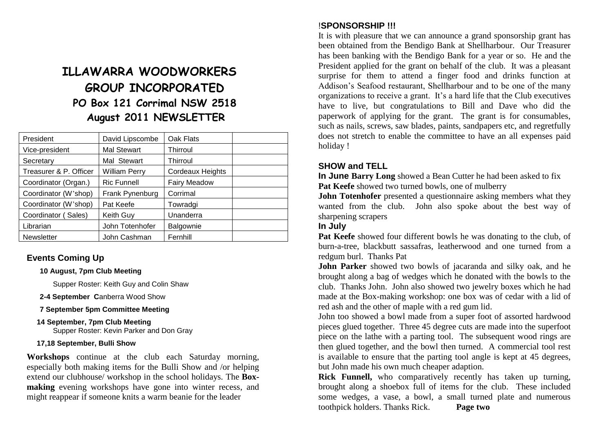# **ILLAWARRA WOODWORKERS GROUP INCORPORATED PO Box 121 Corrimal NSW 2518 August 2011 NEWSLETTER**

| President              | David Lipscombe      | Oak Flats           |  |
|------------------------|----------------------|---------------------|--|
| Vice-president         | <b>Mal Stewart</b>   | Thirroul            |  |
| Secretary              | Mal Stewart          | Thirroul            |  |
| Treasurer & P. Officer | <b>William Perry</b> | Cordeaux Heights    |  |
| Coordinator (Organ.)   | <b>Ric Funnell</b>   | <b>Fairy Meadow</b> |  |
| Coordinator (W'shop)   | Frank Pynenburg      | Corrimal            |  |
| Coordinator (W'shop)   | Pat Keefe            | Towradgi            |  |
| Coordinator (Sales)    | Keith Guy            | Unanderra           |  |
| Librarian              | John Totenhofer      | Balgownie           |  |
| Newsletter             | John Cashman         | Fernhill            |  |

### **Events Coming Up**

#### **10 August, 7pm Club Meeting**

Supper Roster: Keith Guy and Colin Shaw

**2-4 September C**anberra Wood Show

#### **7 September 5pm Committee Meeting**

#### **14 September, 7pm Club Meeting** Supper Roster: Kevin Parker and Don Gray

### **17,18 September, Bulli Show**

**Workshops** continue at the club each Saturday morning, especially both making items for the Bulli Show and /or helping extend our clubhouse/ workshop in the school holidays. The **Boxmaking** evening workshops have gone into winter recess, and might reappear if someone knits a warm beanie for the leader

# !**SPONSORSHIP !!!**

It is with pleasure that we can announce a grand sponsorship grant has been obtained from the Bendigo Bank at Shellharbour. Our Treasurer has been banking with the Bendigo Bank for a year or so. He and the President applied for the grant on behalf of the club. It was a pleasant surprise for them to attend a finger food and drinks function at Addison's Seafood restaurant, Shellharbour and to be one of the many organizations to receive a grant. It's a hard life that the Club executives have to live, but congratulations to Bill and Dave who did the paperwork of applying for the grant. The grant is for consumables, such as nails, screws, saw blades, paints, sandpapers etc, and regretfully does not stretch to enable the committee to have an all expenses paid holiday !

## **SHOW and TELL**

**In June Barry Long** showed a Bean Cutter he had been asked to fix **Pat Keefe** showed two turned bowls, one of mulberry

**John Totenhofer** presented a questionnaire asking members what they wanted from the club. John also spoke about the best way of sharpening scrapers

### **In July**

**Pat Keefe** showed four different bowls he was donating to the club, of burn-a-tree, blackbutt sassafras, leatherwood and one turned from a redgum burl. Thanks Pat

**John Parker** showed two bowls of jacaranda and silky oak, and he brought along a bag of wedges which he donated with the bowls to the club. Thanks John. John also showed two jewelry boxes which he had made at the Box-making workshop: one box was of cedar with a lid of red ash and the other of maple with a red gum lid.

John too showed a bowl made from a super foot of assorted hardwood pieces glued together. Three 45 degree cuts are made into the superfoot piece on the lathe with a parting tool. The subsequent wood rings are then glued together, and the bowl then turned. A commercial tool rest is available to ensure that the parting tool angle is kept at 45 degrees, but John made his own much cheaper adaption.

**Rick Funnell,** who comparatively recently has taken up turning, brought along a shoebox full of items for the club. These included some wedges, a vase, a bowl, a small turned plate and numerous toothpick holders. Thanks Rick. **Page two**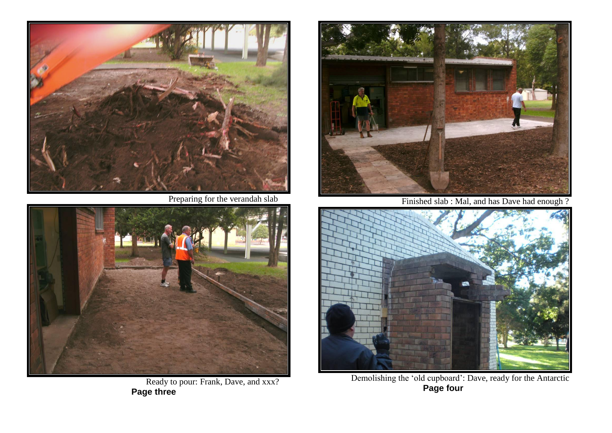

Finished slab : Mal, and has Dave had enough ?



 Demolishing the 'old cupboard': Dave, ready for the Antarctic **Page four**



Preparing for the verandah slab



Ready to pour: Frank, Dave, and xxx? **Page three**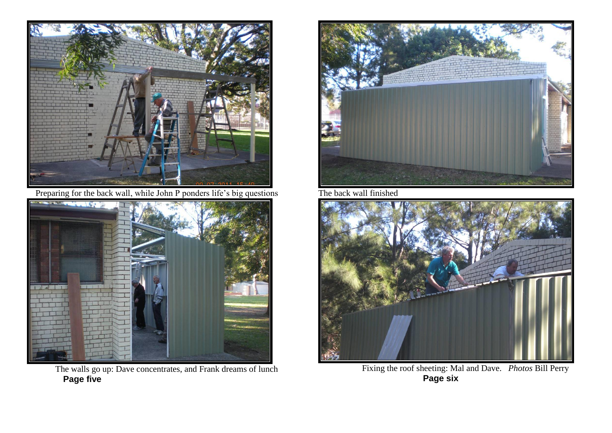

Preparing for the back wall, while John P ponders life's big questions



The walls go up: Dave concentrates, and Frank dreams of lunch  **Page five**



The back wall finished



 Fixing the roof sheeting: Mal and Dave. *Photos* Bill Perry **Page six**